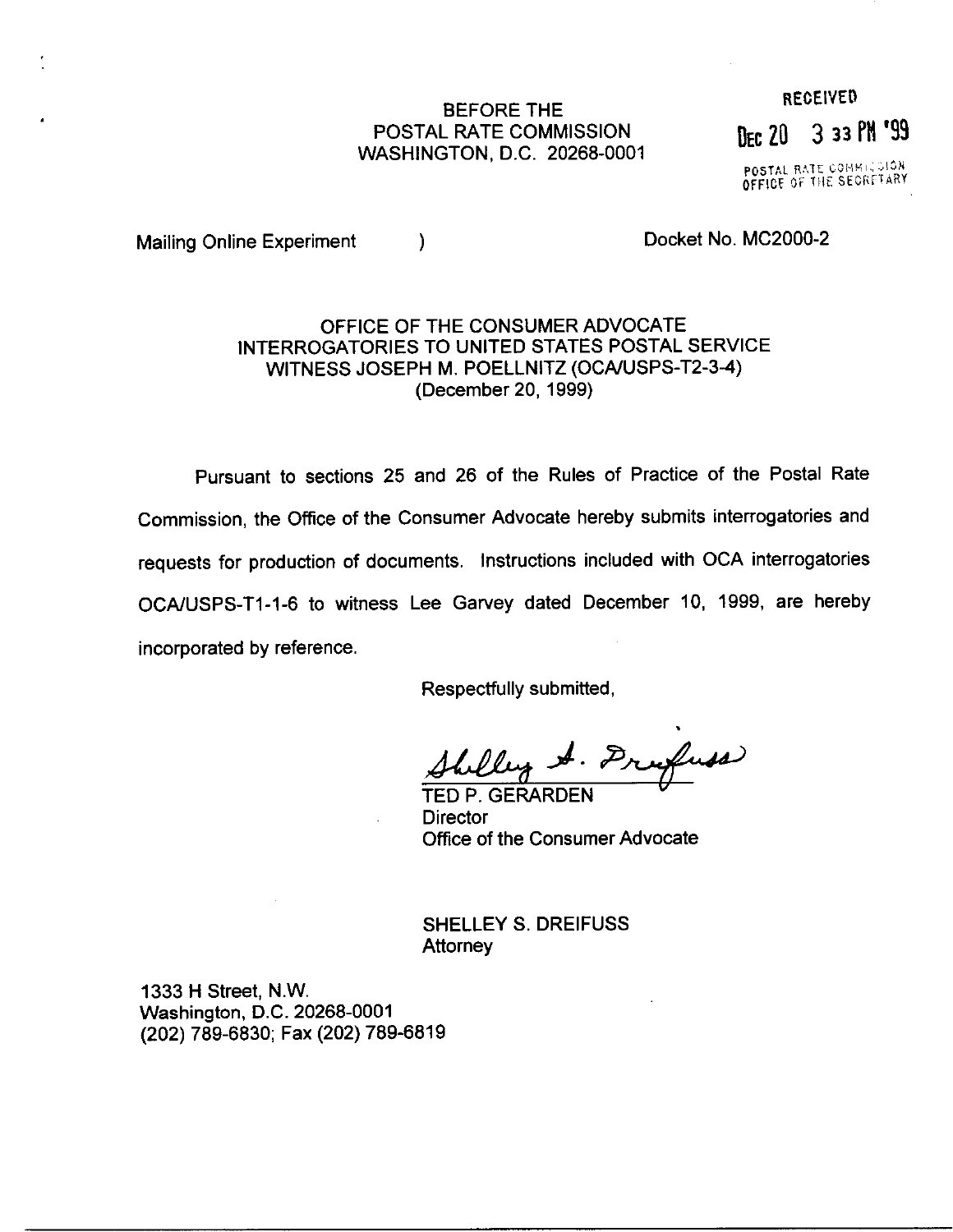### BEFORE THE POSTAL RATE COMMISSION WASHINGTON, D.C. 20268-0001

# **RECEIVED** DEC 20 3 33 PM '99

POSTAL RATE COMMICSION<br>OFFICE OF THE SECRETARY

Mailing Online Experiment (a) a control of the Docket No. MC2000-2

## OFFICE OF THE CONSUMER ADVOCATE INTERROGATORIES TO UNITED STATES POSTAL SERVICE WITNESS JOSEPH M. POELLNITZ (OCAIUSPS-T2-3-4) (December 20,1999)

Pursuant to sections 25 and 26 of the Rules of Practice of the Postal Rate Commission, the Office of the Consumer Advocate hereby submits interrogatories and requests for production of documents, Instructions included with OCA interrogatories OCA/USPS-T1-1-6 to witness Lee Garvey dated December 10, 1999, are hereby incorporated by reference.

Respectfully submitted,

. Drugfuss Shilley.

**Director** Office of the Consumer Advocate

SHELLEY S. DREIFUSS **Attorney** 

1333 H Street, N.W. Washington, D.C. 20268-0001 (202) 789-6830; Fax (202) 789-6819